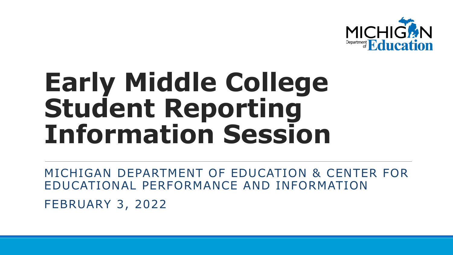

## **Early Middle College Student Reporting Information Session**

MICHIGAN DEPARTMENT OF EDUCATION & CENTER FOR EDUCATIONAL PERFORMANCE AND INFORMATION FEBRUARY 3, 2022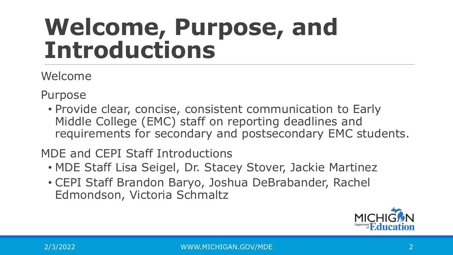#### **Welcome, Purpose, and Introductions**

Welcome

Purpose

• Provide clear, concise, consistent communication to Early Middle College (EMC) staff on reporting deadlines and requirements for secondary and postsecondary EMC students.

MDE and CEPI Staff Introductions

- MDE Staff Lisa Seigel, Dr. Stacey Stover, Jackie Martinez
- CEPI Staff Brandon Baryo, Joshua DeBrabander, Rachel Edmondson, Victoria Schmaltz

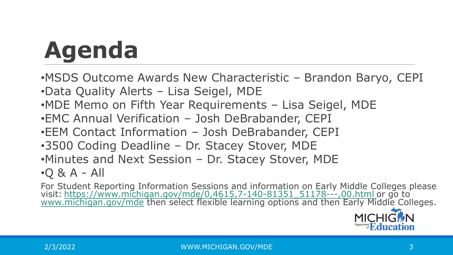# **Agenda**

•MSDS Outcome Awards New Characteristic – Brandon Baryo, CEPI •Data Quality Alerts – Lisa Seigel, MDE •MDE Memo on Fifth Year Requirements – Lisa Seigel, MDE •EMC Annual Verification – Josh DeBrabander, CEPI •EEM Contact Information – Josh DeBrabander, CEPI •3500 Coding Deadline – Dr. Stacey Stover, MDE •Minutes and Next Session – Dr. Stacey Stover, MDE  $\cdot$ Q & A - All

For Student Reporting Information Sessions and information on Early Middle Colleges please visit: <u>[https://www.michigan.gov/mde/0,4615,7-140-81351\\_51178---,00.html](https://www.michigan.gov/mde/0,4615,7-140-81351_51178---,00.html)</u> or go to<br>[www.michigan.gov/mde](http://www.michigan.gov/mde) then select flexible learning options and then Early Middle Colleges.

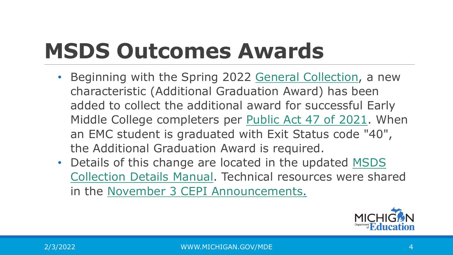#### **MSDS Outcomes Awards**

- Beginning with the Spring 2022 [General Collection,](https://www.michigan.gov/cepi/0,4546,7-113-986_50502_53580---,00.html) a new characteristic (Additional Graduation Award) has been added to collect the additional award for successful Early Middle College completers per [Public Act 47 of 2021](http://legislature.mi.gov/doc.aspx?2021-HB-4411). When an EMC student is graduated with Exit Status code "40", the Additional Graduation Award is required.
- Details of this change are located in the updated MSDS Collection Details Manual. Technical resources were shared in the [November 3 CEPI Announcements.](https://content.govdelivery.com/accounts/MICEPI/bulletins/2f94435)

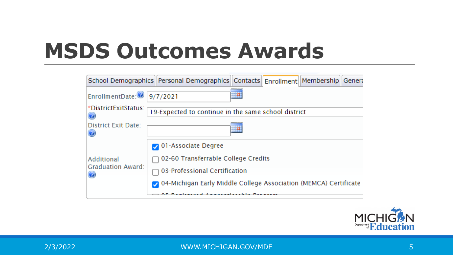#### **MSDS Outcomes Awards**



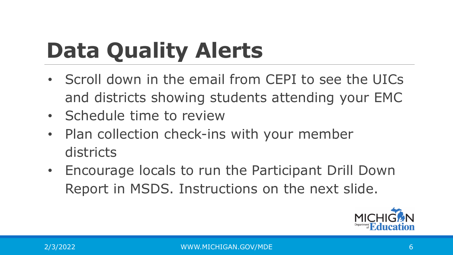### **Data Quality Alerts**

- Scroll down in the email from CEPI to see the UICs and districts showing students attending your EMC
- Schedule time to review
- Plan collection check-ins with your member districts
- Encourage locals to run the Participant Drill Down Report in MSDS. Instructions on the next slide.

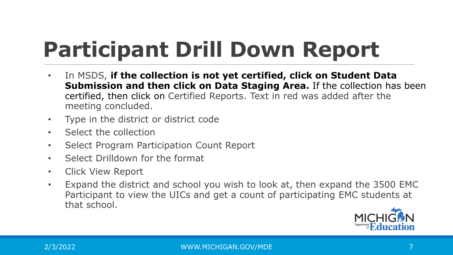### **Participant Drill Down Report**

- In MSDS, if the collection is not yet certified, click on Student Data **Submission and then click on Data Staging Area.** If the collection has been certified, then click on Certified Reports. Text in red was added after the meeting concluded.
- Type in the district or district code
- Select the collection
- Select Program Participation Count Report
- Select Drilldown for the format
- Click View Report
- Expand the district and school you wish to look at, then expand the 3500 EMC Participant to view the UICs and get a count of participating EMC students at that school.

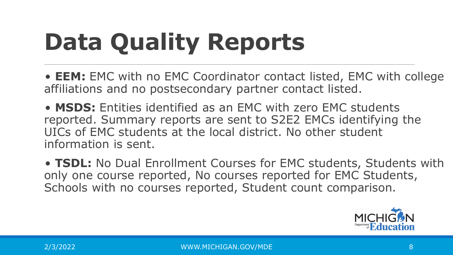# **Data Quality Reports**

• **EEM:** EMC with no EMC Coordinator contact listed, EMC with college affiliations and no postsecondary partner contact listed.

• **MSDS:** Entities identified as an EMC with zero EMC students reported. Summary reports are sent to S2E2 EMCs identifying the UICs of EMC students at the local district. No other student information is sent.

• **TSDL:** No Dual Enrollment Courses for EMC students, Students with only one course reported, No courses reported for EMC Students, Schools with no courses reported, Student count comparison.

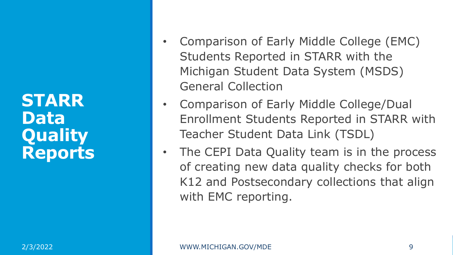**STARR Data Quality Reports**

- Comparison of Early Middle College (EMC) Students Reported in STARR with the Michigan Student Data System (MSDS) General Collection
- Comparison of Early Middle College/Dual Enrollment Students Reported in STARR with Teacher Student Data Link (TSDL)
- The CEPI Data Quality team is in the process of creating new data quality checks for both K12 and Postsecondary collections that align with EMC reporting.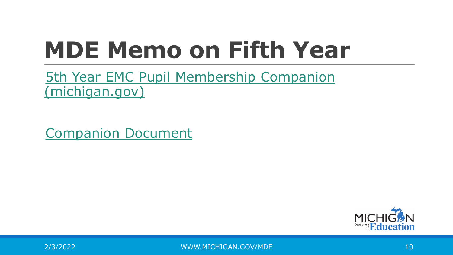### **MDE Memo on Fifth Year**

[5th Year EMC Pupil Membership Companion](https://www.michigan.gov/documents/mde/Pupil_Membership_Requirements_for_Fifth_Year_EMC_Students_738474_7.pdf) (michigan.gov)

[Companion Document](https://www.michigan.gov/documents/mde/5th_Year_EMC_Pupil_Membership_Companion_Doc_pdf_744333_7.pdf)



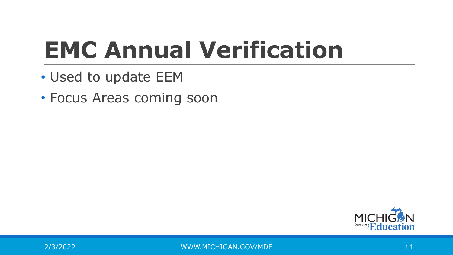## **EMC Annual Verification**

- Used to update EEM
- Focus Areas coming soon

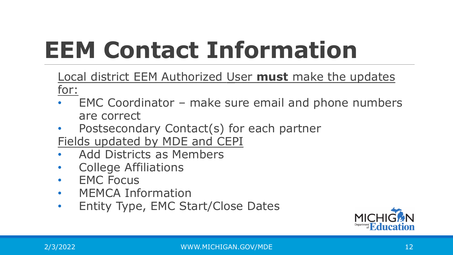## **EEM Contact Information**

Local district EEM Authorized User **must** make the updates for:

- EMC Coordinator make sure email and phone numbers are correct
- Postsecondary Contact(s) for each partner
- Fields updated by MDE and CEPI
- Add Districts as Members
- College Affiliations
- EMC Focus
- MEMCA Information
- Entity Type, EMC Start/Close Dates

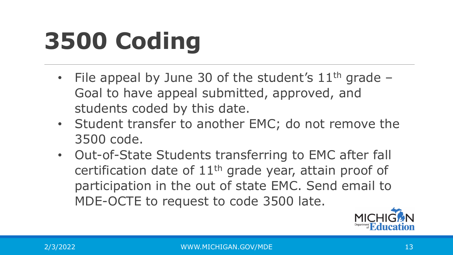## **3500 Coding**

- File appeal by June 30 of the student's  $11<sup>th</sup>$  grade Goal to have appeal submitted, approved, and students coded by this date.
- Student transfer to another EMC; do not remove the 3500 code.
- Out-of-State Students transferring to EMC after fall certification date of 11th grade year, attain proof of participation in the out of state EMC. Send email to MDE-OCTE to request to code 3500 late.

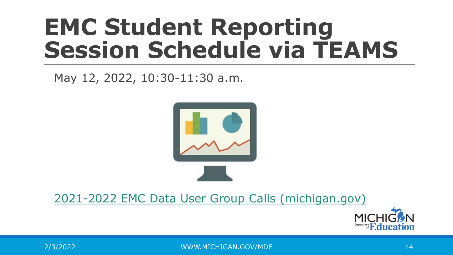#### **EMC Student Reporting Session Schedule via TEAMS**

#### May 12, 2022, 10:30-11:30 a.m.



#### [2021-2022 EMC Data User Group Calls \(michigan.gov\)](https://www.michigan.gov/documents/mde/2021-2022_EMC_Data_User_Group_Call_Schedule_727100_7.pdf)

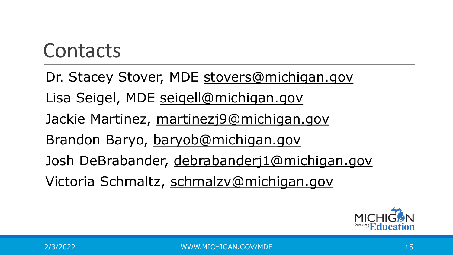#### Contacts

Dr. Stacey Stover, MDE [stovers@michigan.gov](mailto:stovers@michigan.gov) Lisa Seigel, MDE [seigell@michigan.gov](mailto:seigell@michigan.gov) Jackie Martinez, [martinezj9@michigan.gov](mailto:martinezj9@michigan.gov) Brandon Baryo, [baryob@michigan.gov](mailto:baryob@michigan.gov) Josh DeBrabander, [debrabanderj1@michigan.gov](mailto:debrabanderj1@michigan.gov) Victoria Schmaltz, [schmalzv@michigan.gov](mailto:schmalzv@michigan.gov)